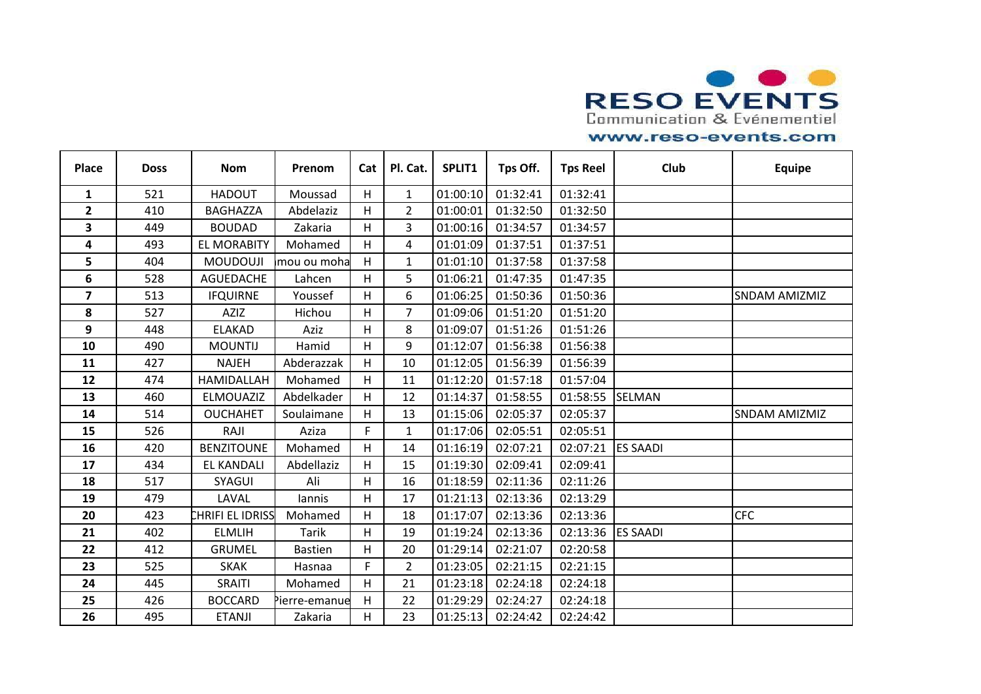

| <b>Place</b>            | <b>Doss</b> | <b>Nom</b>         | Prenom         | Cat | Pl. Cat.       | SPLIT1   | Tps Off. | <b>Tps Reel</b> | Club            | <b>Equipe</b>        |
|-------------------------|-------------|--------------------|----------------|-----|----------------|----------|----------|-----------------|-----------------|----------------------|
| $\mathbf{1}$            | 521         | <b>HADOUT</b>      | Moussad        | H   | $\mathbf{1}$   | 01:00:10 | 01:32:41 | 01:32:41        |                 |                      |
| $\overline{2}$          | 410         | <b>BAGHAZZA</b>    | Abdelaziz      | H   | $\overline{2}$ | 01:00:01 | 01:32:50 | 01:32:50        |                 |                      |
| 3                       | 449         | <b>BOUDAD</b>      | Zakaria        | H   | $\overline{3}$ | 01:00:16 | 01:34:57 | 01:34:57        |                 |                      |
| $\overline{\mathbf{4}}$ | 493         | <b>EL MORABITY</b> | Mohamed        | H.  | 4              | 01:01:09 | 01:37:51 | 01:37:51        |                 |                      |
| 5                       | 404         | <b>MOUDOUJI</b>    | mou ou moha    | H   | $\mathbf{1}$   | 01:01:10 | 01:37:58 | 01:37:58        |                 |                      |
| 6                       | 528         | AGUEDACHE          | Lahcen         | H   | 5              | 01:06:21 | 01:47:35 | 01:47:35        |                 |                      |
| $\overline{\mathbf{z}}$ | 513         | <b>IFQUIRNE</b>    | Youssef        | H   | 6              | 01:06:25 | 01:50:36 | 01:50:36        |                 | <b>SNDAM AMIZMIZ</b> |
| 8                       | 527         | <b>AZIZ</b>        | Hichou         | н   | 7              | 01:09:06 | 01:51:20 | 01:51:20        |                 |                      |
| 9                       | 448         | <b>ELAKAD</b>      | Aziz           | H   | 8              | 01:09:07 | 01:51:26 | 01:51:26        |                 |                      |
| 10                      | 490         | <b>MOUNTIJ</b>     | Hamid          | H   | 9              | 01:12:07 | 01:56:38 | 01:56:38        |                 |                      |
| 11                      | 427         | <b>NAJEH</b>       | Abderazzak     | H   | 10             | 01:12:05 | 01:56:39 | 01:56:39        |                 |                      |
| 12                      | 474         | HAMIDALLAH         | Mohamed        | H   | 11             | 01:12:20 | 01:57:18 | 01:57:04        |                 |                      |
| 13                      | 460         | ELMOUAZIZ          | Abdelkader     | H   | 12             | 01:14:37 | 01:58:55 | 01:58:55        | SELMAN          |                      |
| 14                      | 514         | <b>OUCHAHET</b>    | Soulaimane     | н   | 13             | 01:15:06 | 02:05:37 | 02:05:37        |                 | SNDAM AMIZMIZ        |
| 15                      | 526         | RAJI               | Aziza          | F.  | $\mathbf{1}$   | 01:17:06 | 02:05:51 | 02:05:51        |                 |                      |
| 16                      | 420         | <b>BENZITOUNE</b>  | Mohamed        | H   | 14             | 01:16:19 | 02:07:21 | 02:07:21        | <b>ES SAADI</b> |                      |
| 17                      | 434         | <b>EL KANDALI</b>  | Abdellaziz     | Н   | 15             | 01:19:30 | 02:09:41 | 02:09:41        |                 |                      |
| 18                      | 517         | SYAGUI             | Ali            | Н   | 16             | 01:18:59 | 02:11:36 | 02:11:26        |                 |                      |
| 19                      | 479         | LAVAL              | lannis         | H.  | 17             | 01:21:13 | 02:13:36 | 02:13:29        |                 |                      |
| 20                      | 423         | CHRIFI EL IDRISS   | Mohamed        | н   | 18             | 01:17:07 | 02:13:36 | 02:13:36        |                 | <b>CFC</b>           |
| 21                      | 402         | <b>ELMLIH</b>      | <b>Tarik</b>   | H   | 19             | 01:19:24 | 02:13:36 | 02:13:36        | <b>ES SAADI</b> |                      |
| 22                      | 412         | <b>GRUMEL</b>      | <b>Bastien</b> | Η   | 20             | 01:29:14 | 02:21:07 | 02:20:58        |                 |                      |
| 23                      | 525         | <b>SKAK</b>        | Hasnaa         | F.  | 2              | 01:23:05 | 02:21:15 | 02:21:15        |                 |                      |
| 24                      | 445         | SRAITI             | Mohamed        | H   | 21             | 01:23:18 | 02:24:18 | 02:24:18        |                 |                      |
| 25                      | 426         | <b>BOCCARD</b>     | Pierre-emanue  | н   | 22             | 01:29:29 | 02:24:27 | 02:24:18        |                 |                      |
| 26                      | 495         | <b>ETANJI</b>      | Zakaria        | H.  | 23             | 01:25:13 | 02:24:42 | 02:24:42        |                 |                      |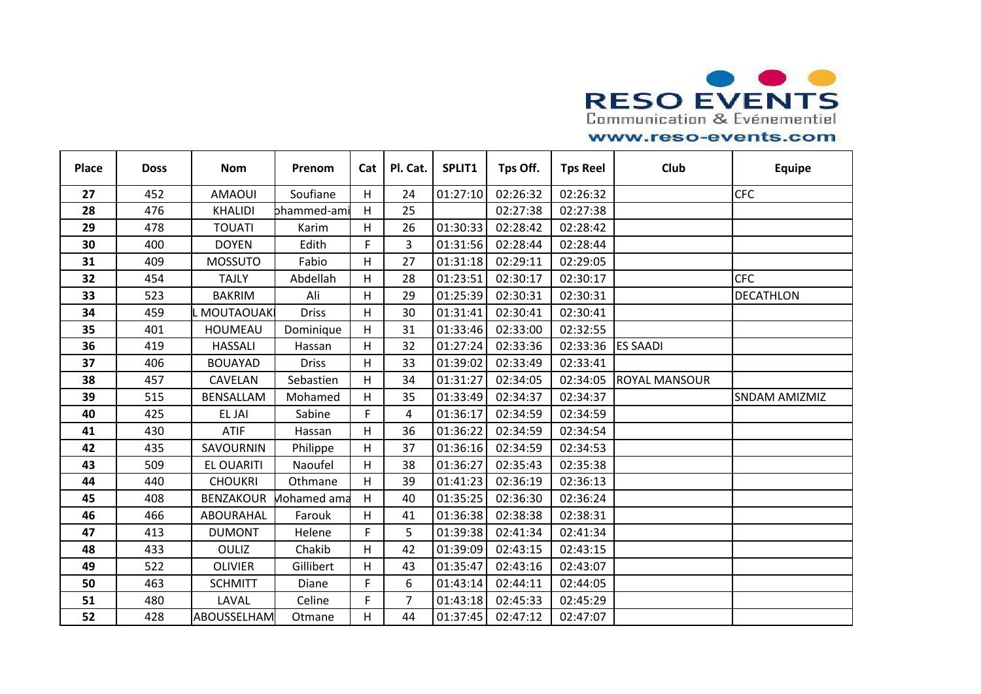

| <b>Place</b> | <b>Doss</b> | <b>Nom</b>         | Prenom       | Cat | Pl. Cat.       | SPLIT1   | Tps Off. | <b>Tps Reel</b> | Club                 | <b>Equipe</b>        |
|--------------|-------------|--------------------|--------------|-----|----------------|----------|----------|-----------------|----------------------|----------------------|
| 27           | 452         | <b>AMAOUI</b>      | Soufiane     | H   | 24             | 01:27:10 | 02:26:32 | 02:26:32        |                      | <b>CFC</b>           |
| 28           | 476         | <b>KHALIDI</b>     | bhammed-am   | H   | 25             |          | 02:27:38 | 02:27:38        |                      |                      |
| 29           | 478         | <b>TOUATI</b>      | Karim        | H   | 26             | 01:30:33 | 02:28:42 | 02:28:42        |                      |                      |
| 30           | 400         | <b>DOYEN</b>       | Edith        | F.  | 3              | 01:31:56 | 02:28:44 | 02:28:44        |                      |                      |
| 31           | 409         | <b>MOSSUTO</b>     | Fabio        | H   | 27             | 01:31:18 | 02:29:11 | 02:29:05        |                      |                      |
| 32           | 454         | <b>TAJLY</b>       | Abdellah     | H   | 28             | 01:23:51 | 02:30:17 | 02:30:17        |                      | <b>CFC</b>           |
| 33           | 523         | <b>BAKRIM</b>      | Ali          | H   | 29             | 01:25:39 | 02:30:31 | 02:30:31        |                      | <b>DECATHLON</b>     |
| 34           | 459         | <b>MOUTAOUAK</b>   | <b>Driss</b> | H   | 30             | 01:31:41 | 02:30:41 | 02:30:41        |                      |                      |
| 35           | 401         | <b>HOUMEAU</b>     | Dominique    | Н   | 31             | 01:33:46 | 02:33:00 | 02:32:55        |                      |                      |
| 36           | 419         | <b>HASSALI</b>     | Hassan       | H   | 32             | 01:27:24 | 02:33:36 | 02:33:36        | <b>ES SAADI</b>      |                      |
| 37           | 406         | <b>BOUAYAD</b>     | <b>Driss</b> | н   | 33             | 01:39:02 | 02:33:49 | 02:33:41        |                      |                      |
| 38           | 457         | <b>CAVELAN</b>     | Sebastien    | Н   | 34             | 01:31:27 | 02:34:05 | 02:34:05        | <b>ROYAL MANSOUR</b> |                      |
| 39           | 515         | BENSALLAM          | Mohamed      | H   | 35             | 01:33:49 | 02:34:37 | 02:34:37        |                      | <b>SNDAM AMIZMIZ</b> |
| 40           | 425         | EL JAI             | Sabine       | F   | 4              | 01:36:17 | 02:34:59 | 02:34:59        |                      |                      |
| 41           | 430         | <b>ATIF</b>        | Hassan       | Н   | 36             | 01:36:22 | 02:34:59 | 02:34:54        |                      |                      |
| 42           | 435         | SAVOURNIN          | Philippe     | H   | 37             | 01:36:16 | 02:34:59 | 02:34:53        |                      |                      |
| 43           | 509         | <b>EL OUARITI</b>  | Naoufel      | н   | 38             | 01:36:27 | 02:35:43 | 02:35:38        |                      |                      |
| 44           | 440         | <b>CHOUKRI</b>     | Othmane      | H   | 39             | 01:41:23 | 02:36:19 | 02:36:13        |                      |                      |
| 45           | 408         | <b>BENZAKOUR</b>   | Mohamed ama  | H   | 40             | 01:35:25 | 02:36:30 | 02:36:24        |                      |                      |
| 46           | 466         | ABOURAHAL          | Farouk       | н   | 41             | 01:36:38 | 02:38:38 | 02:38:31        |                      |                      |
| 47           | 413         | <b>DUMONT</b>      | Helene       | F   | 5              | 01:39:38 | 02:41:34 | 02:41:34        |                      |                      |
| 48           | 433         | <b>OULIZ</b>       | Chakib       | H   | 42             | 01:39:09 | 02:43:15 | 02:43:15        |                      |                      |
| 49           | 522         | <b>OLIVIER</b>     | Gillibert    | н   | 43             | 01:35:47 | 02:43:16 | 02:43:07        |                      |                      |
| 50           | 463         | <b>SCHMITT</b>     | Diane        | F   | 6              | 01:43:14 | 02:44:11 | 02:44:05        |                      |                      |
| 51           | 480         | LAVAL              | Celine       | F   | $\overline{7}$ | 01:43:18 | 02:45:33 | 02:45:29        |                      |                      |
| 52           | 428         | <b>ABOUSSELHAM</b> | Otmane       | н   | 44             | 01:37:45 | 02:47:12 | 02:47:07        |                      |                      |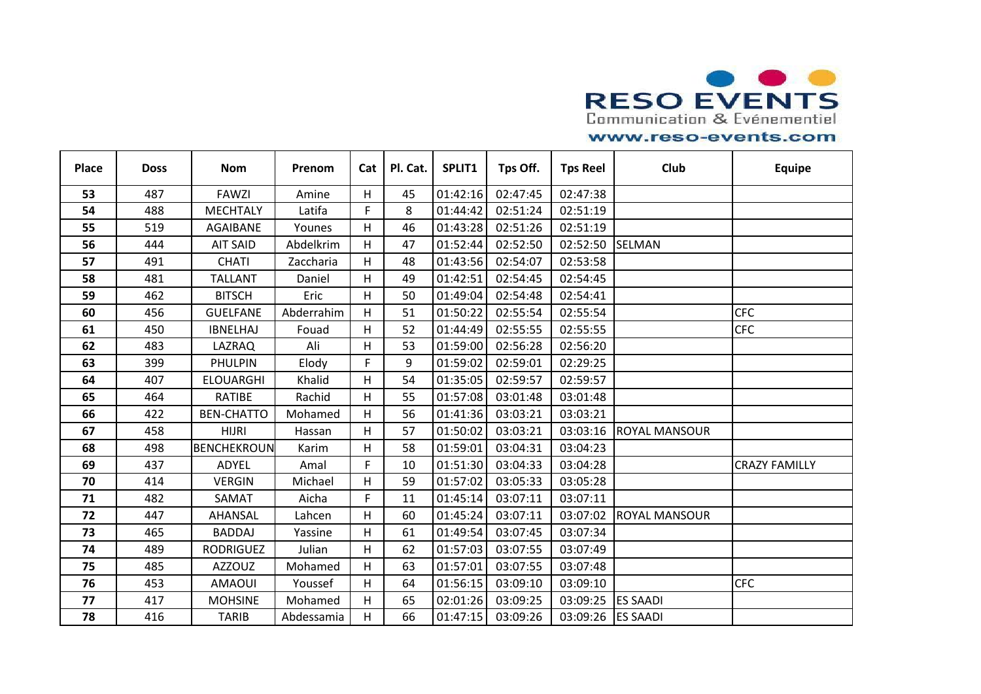

| <b>Place</b> | <b>Doss</b> | <b>Nom</b>        | Prenom     | Cat | Pl. Cat. | SPLIT1   | Tps Off. | <b>Tps Reel</b> | Club                 | <b>Equipe</b>        |
|--------------|-------------|-------------------|------------|-----|----------|----------|----------|-----------------|----------------------|----------------------|
| 53           | 487         | <b>FAWZI</b>      | Amine      | H   | 45       | 01:42:16 | 02:47:45 | 02:47:38        |                      |                      |
| 54           | 488         | <b>MECHTALY</b>   | Latifa     | F   | 8        | 01:44:42 | 02:51:24 | 02:51:19        |                      |                      |
| 55           | 519         | AGAIBANE          | Younes     | H   | 46       | 01:43:28 | 02:51:26 | 02:51:19        |                      |                      |
| 56           | 444         | <b>AIT SAID</b>   | Abdelkrim  | Н   | 47       | 01:52:44 | 02:52:50 | 02:52:50        | <b>SELMAN</b>        |                      |
| 57           | 491         | <b>CHATI</b>      | Zaccharia  | н   | 48       | 01:43:56 | 02:54:07 | 02:53:58        |                      |                      |
| 58           | 481         | <b>TALLANT</b>    | Daniel     | H   | 49       | 01:42:51 | 02:54:45 | 02:54:45        |                      |                      |
| 59           | 462         | <b>BITSCH</b>     | Eric       | н   | 50       | 01:49:04 | 02:54:48 | 02:54:41        |                      |                      |
| 60           | 456         | <b>GUELFANE</b>   | Abderrahim | H   | 51       | 01:50:22 | 02:55:54 | 02:55:54        |                      | <b>CFC</b>           |
| 61           | 450         | <b>IBNELHAJ</b>   | Fouad      | Н   | 52       | 01:44:49 | 02:55:55 | 02:55:55        |                      | <b>CFC</b>           |
| 62           | 483         | LAZRAQ            | Ali        | Н   | 53       | 01:59:00 | 02:56:28 | 02:56:20        |                      |                      |
| 63           | 399         | <b>PHULPIN</b>    | Elody      | F   | 9        | 01:59:02 | 02:59:01 | 02:29:25        |                      |                      |
| 64           | 407         | <b>ELOUARGHI</b>  | Khalid     | H   | 54       | 01:35:05 | 02:59:57 | 02:59:57        |                      |                      |
| 65           | 464         | <b>RATIBE</b>     | Rachid     | H   | 55       | 01:57:08 | 03:01:48 | 03:01:48        |                      |                      |
| 66           | 422         | <b>BEN-CHATTO</b> | Mohamed    | H   | 56       | 01:41:36 | 03:03:21 | 03:03:21        |                      |                      |
| 67           | 458         | <b>HIJRI</b>      | Hassan     | H   | 57       | 01:50:02 | 03:03:21 | 03:03:16        | <b>ROYAL MANSOUR</b> |                      |
| 68           | 498         | BENCHEKROUN       | Karim      | H   | 58       | 01:59:01 | 03:04:31 | 03:04:23        |                      |                      |
| 69           | 437         | ADYEL             | Amal       | F   | 10       | 01:51:30 | 03:04:33 | 03:04:28        |                      | <b>CRAZY FAMILLY</b> |
| 70           | 414         | <b>VERGIN</b>     | Michael    | Н   | 59       | 01:57:02 | 03:05:33 | 03:05:28        |                      |                      |
| 71           | 482         | SAMAT             | Aicha      | F   | 11       | 01:45:14 | 03:07:11 | 03:07:11        |                      |                      |
| 72           | 447         | AHANSAL           | Lahcen     | н   | 60       | 01:45:24 | 03:07:11 | 03:07:02        | <b>ROYAL MANSOUR</b> |                      |
| 73           | 465         | <b>BADDAJ</b>     | Yassine    | Н   | 61       | 01:49:54 | 03:07:45 | 03:07:34        |                      |                      |
| 74           | 489         | <b>RODRIGUEZ</b>  | Julian     | Н   | 62       | 01:57:03 | 03:07:55 | 03:07:49        |                      |                      |
| 75           | 485         | <b>AZZOUZ</b>     | Mohamed    | н   | 63       | 01:57:01 | 03:07:55 | 03:07:48        |                      |                      |
| 76           | 453         | <b>AMAOUI</b>     | Youssef    | Н   | 64       | 01:56:15 | 03:09:10 | 03:09:10        |                      | <b>CFC</b>           |
| 77           | 417         | <b>MOHSINE</b>    | Mohamed    | Н   | 65       | 02:01:26 | 03:09:25 | 03:09:25        | <b>ES SAADI</b>      |                      |
| 78           | 416         | <b>TARIB</b>      | Abdessamia | H   | 66       | 01:47:15 | 03:09:26 | 03:09:26        | <b>ES SAADI</b>      |                      |